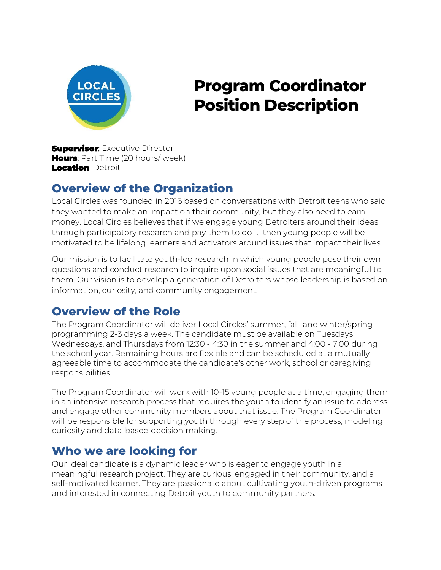

# **Program Coordinator Position Description**

**Supervisor**: Executive Director **Hours:** Part Time (20 hours/ week) Location: Detroit

### **Overview of the Organization**

Local Circles was founded in 2016 based on conversations with Detroit teens who said they wanted to make an impact on their community, but they also need to earn money. Local Circles believes that if we engage young Detroiters around their ideas through participatory research and pay them to do it, then young people will be motivated to be lifelong learners and activators around issues that impact their lives.

Our mission is to facilitate youth-led research in which young people pose their own questions and conduct research to inquire upon social issues that are meaningful to them. Our vision is to develop a generation of Detroiters whose leadership is based on information, curiosity, and community engagement.

### **Overview of the Role**

The Program Coordinator will deliver Local Circles' summer, fall, and winter/spring programming 2-3 days a week. The candidate must be available on Tuesdays, Wednesdays, and Thursdays from 12:30 - 4:30 in the summer and 4:00 - 7:00 during the school year. Remaining hours are flexible and can be scheduled at a mutually agreeable time to accommodate the candidate's other work, school or caregiving responsibilities.

The Program Coordinator will work with 10-15 young people at a time, engaging them in an intensive research process that requires the youth to identify an issue to address and engage other community members about that issue. The Program Coordinator will be responsible for supporting youth through every step of the process, modeling curiosity and data-based decision making.

### **Who we are looking for**

Our ideal candidate is a dynamic leader who is eager to engage youth in a meaningful research project. They are curious, engaged in their community, and a self-motivated learner. They are passionate about cultivating youth-driven programs and interested in connecting Detroit youth to community partners.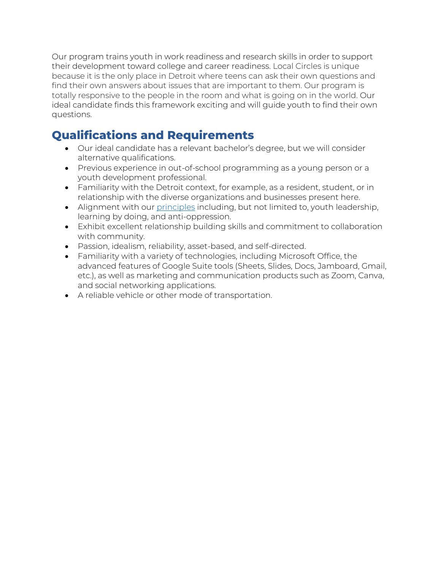Our program trains youth in work readiness and research skills in order to support their development toward college and career readiness. Local Circles is unique because it is the only place in Detroit where teens can ask their own questions and find their own answers about issues that are important to them. Our program is totally responsive to the people in the room and what is going on in the world. Our ideal candidate finds this framework exciting and will guide youth to find their own questions.

### **Qualifications and Requirements**

- Our ideal candidate has a relevant bachelor's degree, but we will consider alternative qualifications.
- Previous experience in out-of-school programming as a young person or a youth development professional.
- Familiarity with the Detroit context, for example, as a resident, student, or in relationship with the diverse organizations and businesses present here.
- Alignment with our [principles](https://localcirclesdetroit.org/about/) including, but not limited to, youth leadership, learning by doing, and anti-oppression.
- Exhibit excellent relationship building skills and commitment to collaboration with community.
- Passion, idealism, reliability, asset-based, and self-directed.
- Familiarity with a variety of technologies, including Microsoft Office, the advanced features of Google Suite tools (Sheets, Slides, Docs, Jamboard, Gmail, etc.), as well as marketing and communication products such as Zoom, Canva, and social networking applications.
- A reliable vehicle or other mode of transportation.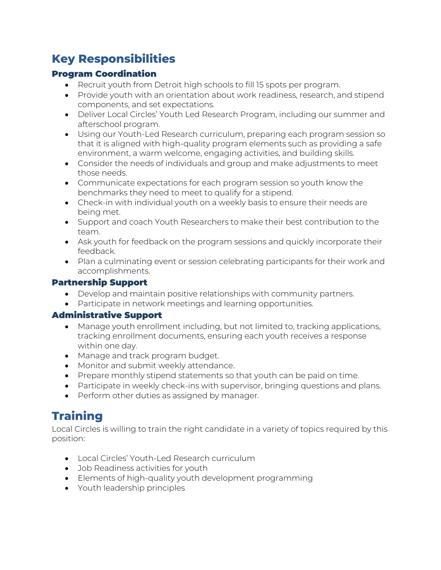## **Key Responsibilities**

#### Program Coordination

- Recruit youth from Detroit high schools to fill 15 spots per program.
- Provide youth with an orientation about work readiness, research, and stipend components, and set expectations.
- Deliver Local Circles' Youth Led Research Program, including our summer and afterschool program.
- Using our Youth-Led Research curriculum, preparing each program session so that it is aligned with high-quality program elements such as providing a safe environment, a warm welcome, engaging activities, and building skills.
- Consider the needs of individuals and group and make adjustments to meet those needs.
- Communicate expectations for each program session so youth know the benchmarks they need to meet to qualify for a stipend.
- Check-in with individual youth on a weekly basis to ensure their needs are being met.
- Support and coach Youth Researchers to make their best contribution to the team.
- Ask youth for feedback on the program sessions and quickly incorporate their feedback.
- Plan a culminating event or session celebrating participants for their work and accomplishments.

#### Partnership Support

- Develop and maintain positive relationships with community partners.
- Participate in network meetings and learning opportunities.

#### Administrative Support

- Manage youth enrollment including, but not limited to, tracking applications, tracking enrollment documents, ensuring each youth receives a response within one day.
- Manage and track program budget.
- Monitor and submit weekly attendance.
- Prepare monthly stipend statements so that youth can be paid on time.
- Participate in weekly check-ins with supervisor, bringing questions and plans.
- Perform other duties as assigned by manager.

# **Training**

Local Circles is willing to train the right candidate in a variety of topics required by this position:

- Local Circles' Youth-Led Research curriculum
- Job Readiness activities for youth
- Elements of high-quality youth development programming
- Youth leadership principles